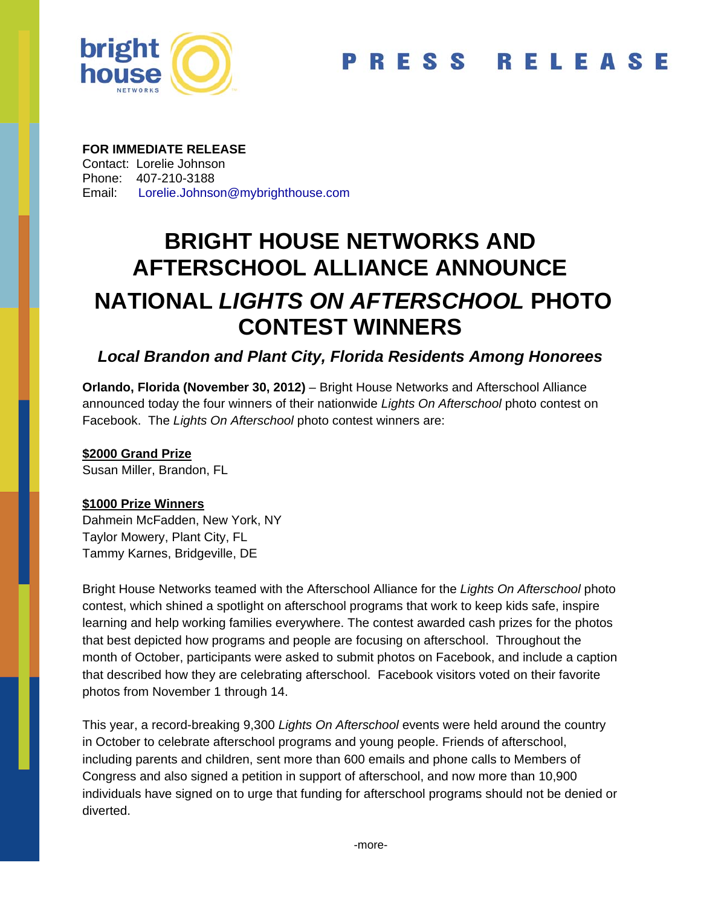

#### **FOR IMMEDIATE RELEASE**

Contact: Lorelie Johnson Phone: 407-210-3188 Email: Lorelie.Johnson@mybrighthouse.com

# **BRIGHT HOUSE NETWORKS AND AFTERSCHOOL ALLIANCE ANNOUNCE NATIONAL** *LIGHTS ON AFTERSCHOOL* **PHOTO CONTEST WINNERS**

# *Local Brandon and Plant City, Florida Residents Among Honorees*

**Orlando, Florida (November 30, 2012)** – Bright House Networks and Afterschool Alliance announced today the four winners of their nationwide *Lights On Afterschool* photo contest on Facebook. The *Lights On Afterschool* photo contest winners are:

## **\$2000 Grand Prize**

Susan Miller, Brandon, FL

# **\$1000 Prize Winners**

Dahmein McFadden, New York, NY Taylor Mowery, Plant City, FL Tammy Karnes, Bridgeville, DE

Bright House Networks teamed with the Afterschool Alliance for the *Lights On Afterschool* photo contest, which shined a spotlight on afterschool programs that work to keep kids safe, inspire learning and help working families everywhere. The contest awarded cash prizes for the photos that best depicted how programs and people are focusing on afterschool. Throughout the month of October, participants were asked to submit photos on Facebook, and include a caption that described how they are celebrating afterschool. Facebook visitors voted on their favorite photos from November 1 through 14.

This year, a record-breaking 9,300 *Lights On Afterschool* events were held around the country in October to celebrate afterschool programs and young people. Friends of afterschool, including parents and children, sent more than 600 emails and phone calls to Members of Congress and also signed a petition in support of afterschool, and now more than 10,900 individuals have signed on to urge that funding for afterschool programs should not be denied or diverted.